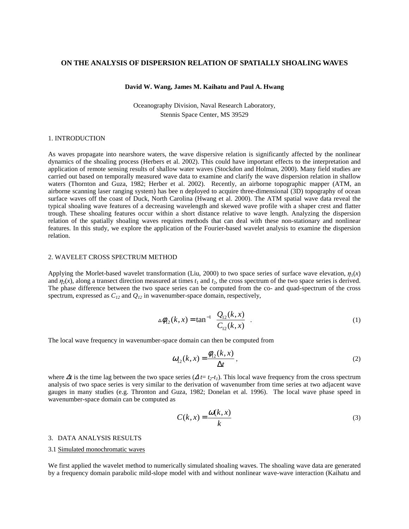# **ON THE ANALYSIS OF DISPERSION RELATION OF SPATIALLY SHOALING WAVES**

#### **David W. Wang, James M. Kaihatu and Paul A. Hwang**

Oceanography Division, Naval Research Laboratory, Stennis Space Center, MS 39529

### 1. INTRODUCTION

As waves propagate into nearshore waters, the wave dispersive relation is significantly affected by the nonlinear dynamics of the shoaling process (Herbers et al. 2002). This could have important effects to the interpretation and application of remote sensing results of shallow water waves (Stockdon and Holman, 2000). Many field studies are carried out based on temporally measured wave data to examine and clarify the wave dispersion relation in shallow waters (Thornton and Guza, 1982; Herber et al. 2002). Recently, an airborne topographic mapper (ATM, an airborne scanning laser ranging system) has bee n deployed to acquire three-dimensional (3D) topography of ocean surface waves off the coast of Duck, North Carolina (Hwang et al. 2000). The ATM spatial wave data reveal the typical shoaling wave features of a decreasing wavelength and skewed wave profile with a shaper crest and flatter trough. These shoaling features occur within a short distance relative to wave length. Analyzing the dispersion relation of the spatially shoaling waves requires methods that can deal with these non-stationary and nonlinear features. In this study, we explore the application of the Fourier-based wavelet analysis to examine the dispersion relation.

## 2. WAVELET CROSS SPECTRUM METHOD

Applying the Morlet-based wavelet transformation (Liu, 2000) to two space series of surface wave elevation,  $\eta_1(x)$ and  $\eta_2(x)$ , along a transect direction measured at times  $t_1$  and  $t_2$ , the cross spectrum of the two space series is derived. The phase difference between the two space series can be computed from the co- and quad-spectrum of the cross spectrum, expressed as  $C_{12}$  and  $Q_{12}$  in wavenumber-space domain, respectively,

$$
\Delta \phi_{12}(k, x) = \tan^{-1} \left( \frac{Q_{12}(k, x)}{C_{12}(k, x)} \right).
$$
 (1)

The local wave frequency in wavenumber-space domain can then be computed from

$$
\omega_{12}(k,x) = \frac{\phi_{12}(k,x)}{\Delta t},\tag{2}
$$

where  $\Delta t$  is the time lag between the two space series ( $\Delta t = t_2 - t_1$ ). This local wave frequency from the cross spectrum analysis of two space series is very similar to the derivation of wavenumber from time series at two adjacent wave gauges in many studies (e.g. Thronton and Guza, 1982; Donelan et al. 1996). The local wave phase speed in wavenumber-space domain can be computed as

$$
C(k, x) = \frac{\omega(k, x)}{k}
$$
 (3)

# 3. DATA ANALYSIS RESULTS

#### 3.1 Simulated monochromatic waves

We first applied the wavelet method to numerically simulated shoaling waves. The shoaling wave data are generated by a frequency domain parabolic mild-slope model with and without nonlinear wave-wave interaction (Kaihatu and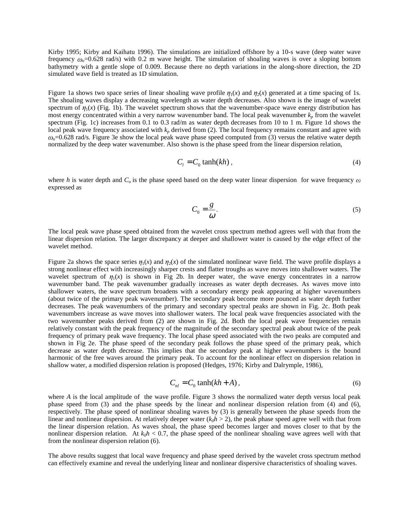Kirby 1995; Kirby and Kaihatu 1996). The simulations are initialized offshore by a 10-s wave (deep water wave frequency  $\omega_0$ =0.628 rad/s) with 0.2 m wave height. The simulation of shoaling waves is over a sloping bottom bathymetry with a gentle slope of 0.009. Because there no depth variations in the along-shore direction, the 2D simulated wave field is treated as 1D simulation.

Figure 1a shows two space series of linear shoaling wave profile  $\eta_1(x)$  and  $\eta_2(x)$  generated at a time spacing of 1s. The shoaling waves display a decreasing wavelength as water depth decreases. Also shown is the image of wavelet spectrum of  $\eta_1(x)$  (Fig. 1b). The wavelet spectrum shows that the wavenumber-space wave energy distribution has most energy concentrated within a very narrow wavenumber band. The local peak wavenumber  $k_p$  from the wavelet spectrum (Fig. 1c) increases from 0.1 to 0.3 rad/m as water depth decreases from 10 to 1 m. Figure 1d shows the local peak wave frequency associated with  $k_p$  derived from (2). The local frequency remains constant and agree with  $\omega<sub>o</sub>=0.628$  rad/s. Figure 3e show the local peak wave phase speed computed from (3) versus the relative water depth normalized by the deep water wavenumber. Also shown is the phase speed from the linear dispersion relation,

$$
C_i = C_0 \tanh(kh) \tag{4}
$$

where *h* is water depth and  $C<sub>o</sub>$  is the phase speed based on the deep water linear dispersion for wave frequency  $\omega$ expressed as

$$
C_0 = \frac{g}{\omega}.\tag{5}
$$

The local peak wave phase speed obtained from the wavelet cross spectrum method agrees well with that from the linear dispersion relation. The larger discrepancy at deeper and shallower water is caused by the edge effect of the wavelet method.

Figure 2a shows the space series  $\eta_1(x)$  and  $\eta_2(x)$  of the simulated nonlinear wave field. The wave profile displays a strong nonlinear effect with increasingly sharper crests and flatter troughs as wave moves into shallower waters. The wavelet spectrum of  $\eta_1(x)$  is shown in Fig 2b. In deeper water, the wave energy concentrates in a narrow wavenumber band. The peak wavenumber gradually increases as water depth decreases. As waves move into shallower waters, the wave spectrum broadens with a secondary energy peak appearing at higher wavenumbers (about twice of the primary peak wavenumber). The secondary peak become more pounced as water depth further decreases. The peak wavenumbers of the primary and secondary spectral peaks are shown in Fig. 2c. Both peak wavenumbers increase as wave moves into shallower waters. The local peak wave frequencies associated with the two wavenumber peaks derived from (2) are shown in Fig. 2d. Both the local peak wave frequencies remain relatively constant with the peak frequency of the magnitude of the secondary spectral peak about twice of the peak frequency of primary peak wave frequency. The local phase speed associated with the two peaks are computed and shown in Fig 2e. The phase speed of the secondary peak follows the phase speed of the primary peak, which decrease as water depth decrease. This implies that the secondary peak at higher wavenumbers is the bound harmonic of the free waves around the primary peak. To account for the nonlinear effect on dispersion relation in shallow water, a modified dispersion relation is proposed (Hedges, 1976; Kirby and Dalrymple, 1986),

$$
C_{nl} = C_0 \tanh(kh + A), \tag{6}
$$

where *A* is the local amplitude of the wave profile. Figure 3 shows the normalized water depth versus local peak phase speed from (3) and the phase speeds by the linear and nonlinear dispersion relation from (4) and (6), respectively. The phase speed of nonlinear shoaling waves by (3) is generally between the phase speeds from the linear and nonlinear dispersion. At relatively deeper water  $(k_0h > 2)$ , the peak phase speed agree well with that from the linear dispersion relation. As waves shoal, the phase speed becomes larger and moves closer to that by the nonlinear dispersion relation. At  $k_0h < 0.7$ , the phase speed of the nonlinear shoaling wave agrees well with that from the nonlinear dispersion relation (6).

The above results suggest that local wave frequency and phase speed derived by the wavelet cross spectrum method can effectively examine and reveal the underlying linear and nonlinear dispersive characteristics of shoaling waves.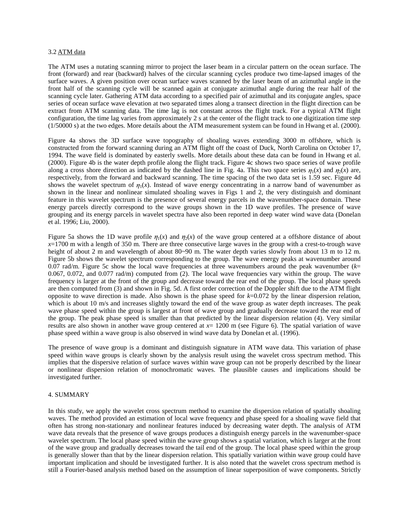## 3.2 ATM data

The ATM uses a nutating scanning mirror to project the laser beam in a circular pattern on the ocean surface. The front (forward) and rear (backward) halves of the circular scanning cycles produce two time-lapsed images of the surface waves. A given position over ocean surface waves scanned by the laser beam of an azimuthal angle in the front half of the scanning cycle will be scanned again at conjugate azimuthal angle during the rear half of the scanning cycle later. Gathering ATM data according to a specified pair of azimuthal and its conjugate angles, space series of ocean surface wave elevation at two separated times along a transect direction in the flight direction can be extract from ATM scanning data. The time lag is not constant across the flight track. For a typical ATM flight configuration, the time lag varies from approximately 2 s at the center of the flight track to one digitization time step (1/50000 s) at the two edges. More details about the ATM measurement system can be found in Hwang et al. (2000).

Figure 4a shows the 3D surface wave topography of shoaling waves extending 3000 m offshore, which is constructed from the forward scanning during an ATM flight off the coast of Duck, North Carolina on October 17, 1994. The wave field is dominated by easterly swells. More details about these data can be found in Hwang et al. (2000). Figure 4b is the water depth profile along the flight track. Figure 4c shows two space series of wave profile along a cross shore direction as indicated by the dashed line in Fig. 4a. This two space series  $\eta_1(x)$  and  $\eta_2(x)$  are, respectively, from the forward and backward scanning. The time spacing of the two data set is 1.59 sec. Figure 4d shows the wavelet spectrum of  $\eta_1(x)$ . Instead of wave energy concentrating in a narrow band of wavenumber as shown in the linear and nonlinear simulated shoaling waves in Figs 1 and 2, the very distinguish and dominant feature in this wavelet spectrum is the presence of several energy parcels in the wavenumber-space domain. These energy parcels directly correspond to the wave groups shown in the 1D wave profiles. The presence of wave grouping and its energy parcels in wavelet spectra have also been reported in deep water wind wave data (Donelan et al. 1996; Liu, 2000).

Figure 5a shows the 1D wave profile  $\eta_1(x)$  and  $\eta_2(x)$  of the wave group centered at a offshore distance of about  $x=1700$  m with a length of 350 m. There are three consecutive large waves in the group with a crest-to-trough wave height of about 2 m and wavelength of about 80~90 m. The water depth varies slowly from about 13 m to 12 m. Figure 5b shows the wavelet spectrum corresponding to the group. The wave energy peaks at wavenumber around 0.07 rad/m. Figure 5c show the local wave frequencies at three wavenumbers around the peak wavenumber  $(k=$ 0.067, 0.072, and 0.077 rad/m) computed from (2). The local wave frequencies vary within the group. The wave frequency is larger at the front of the group and decrease toward the rear end of the group. The local phase speeds are then computed from (3) and shown in Fig. 5d. A first order correction of the Doppler shift due to the ATM flight opposite to wave direction is made. Also shown is the phase speed for *k*=0.072 by the linear dispersion relation, which is about 10 m/s and increases slightly toward the end of the wave group as water depth increases. The peak wave phase speed within the group is largest at front of wave group and gradually decrease toward the rear end of the group. The peak phase speed is smaller than that predicted by the linear dispersion relation (4). Very similar results are also shown in another wave group centered at *x*= 1200 m (see Figure 6). The spatial variation of wave phase speed within a wave group is also observed in wind wave data by Donelan et al. (1996).

The presence of wave group is a dominant and distinguish signature in ATM wave data. This variation of phase speed within wave groups is clearly shown by the analysis result using the wavelet cross spectrum method. This implies that the dispersive relation of surface waves within wave group can not be properly described by the linear or nonlinear dispersion relation of monochromatic waves. The plausible causes and implications should be investigated further.

## 4. SUMMARY

In this study, we apply the wavelet cross spectrum method to examine the dispersion relation of spatially shoaling waves. The method provided an estimation of local wave frequency and phase speed for a shoaling wave field that often has strong non-stationary and nonlinear features induced by decreasing water depth. The analysis of ATM wave data reveals that the presence of wave groups produces a distinguish energy parcels in the wavenumber-space wavelet spectrum. The local phase speed within the wave group shows a spatial variation, which is larger at the front of the wave group and gradually decreases toward the tail end of the group. The local phase speed within the group is generally slower than that by the linear dispersion relation. This spatially variation within wave group could have important implication and should be investigated further. It is also noted that the wavelet cross spectrum method is still a Fourier-based analysis method based on the assumption of linear superposition of wave components. Strictly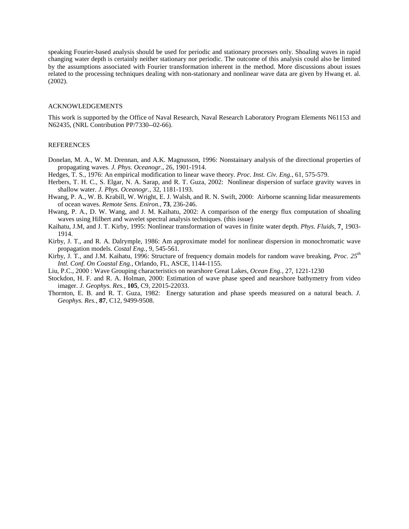speaking Fourier-based analysis should be used for periodic and stationary processes only. Shoaling waves in rapid changing water depth is certainly neither stationary nor periodic. The outcome of this analysis could also be limited by the assumptions associated with Fourier transformation inherent in the method. More discussions about issues related to the processing techniques dealing with non-stationary and nonlinear wave data are given by Hwang et. al. (2002).

#### ACKNOWLEDGEMENTS

This work is supported by the Office of Naval Research, Naval Research Laboratory Program Elements N61153 and N62435, (NRL Contribution PP/7330--02-66).

### REFERENCES

- Donelan, M. A., W. M. Drennan, and A.K. Magnusson, 1996: Nonstainary analysis of the directional properties of propagating waves. *J. Phys. Oceanogr.*, 26, 1901-1914.
- Hedges, T. S., 1976: An empirical modification to linear wave theory. *Proc. Inst. Civ. Eng.*, 61, 575-579.
- Herbers, T. H. C., S. Elgar, N. A. Sarap, and R. T. Guza, 2002: Nonlinear dispersion of surface gravity waves in shallow water. *J. Phys. Oceanogr.*, 32, 1181-1193.
- Hwang, P. A., W. B. Krabill, W. Wright, E. J. Walsh, and R. N. Swift, 2000: Airborne scanning lidar measurements of ocean waves. *Remote Sens. Eniron.*, **73**, 236-246.
- Hwang, P. A., D. W. Wang, and J. M. Kaihatu, 2002: A comparison of the energy flux computation of shoaling waves using Hilbert and wavelet spectral analysis techniques. (this issue)
- Kaihatu, J.M, and J. T. Kirby, 1995: Nonlinear transformation of waves in finite water depth. *Phys. Fluids,* **7¸** 1903- 1914.
- Kirby, J. T., and R. A. Dalrymple, 1986: Am approximate model for nonlinear dispersion in monochromatic wave propagation models. *Costal Eng.*, 9, 545-561.
- Kirby, J. T., and J.M. Kaihatu, 1996: Structure of frequency domain models for random wave breaking, *Proc. 25th Intl. Conf. On Coastal Eng.,* Orlando, FL, ASCE, 1144-1155.
- Liu, P.C., 2000 : Wave Grouping characteristics on nearshore Great Lakes, *Ocean Eng.,* 27, 1221-1230
- Stockdon, H. F. and R. A. Holman, 2000: Estimation of wave phase speed and nearshore bathymetry from video imager. *J. Geophys. Res.*, **105**, C9, 22015-22033.
- Thornton, E. B. and R. T. Guza, 1982: Energy saturation and phase speeds measured on a natural beach. *J. Geophys. Res.*, **87**, C12, 9499-9508.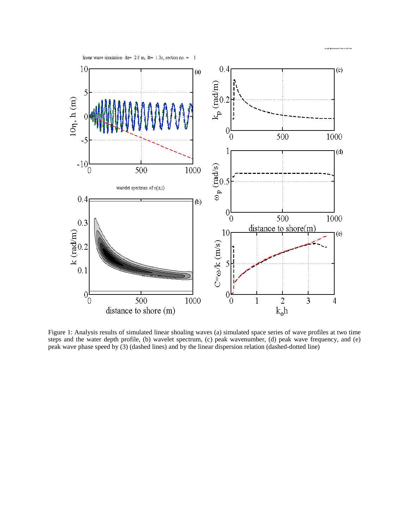

Figure 1: Analysis results of simulated linear shoaling waves (a) simulated space series of wave profiles at two time steps and the water depth profile, (b) wavelet spectrum, (c) peak wavenumber, (d) peak wave frequency, and (e) peak wave phase speed by (3) (dashed lines) and by the linear dispersion relation (dashed-dotted line)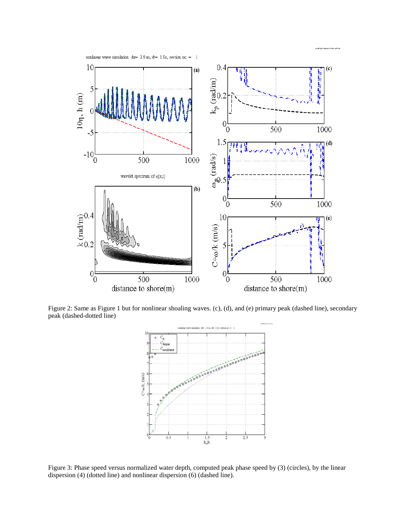

Figure 2: Same as Figure 1 but for nonlinear shoaling waves. (c), (d), and (e) primary peak (dashed line), secondary peak (dashed-dotted line)



Figure 3: Phase speed versus normalized water depth, computed peak phase speed by (3) (circles), by the linear dispersion (4) (dotted line) and nonlinear dispersion (6) (dashed line).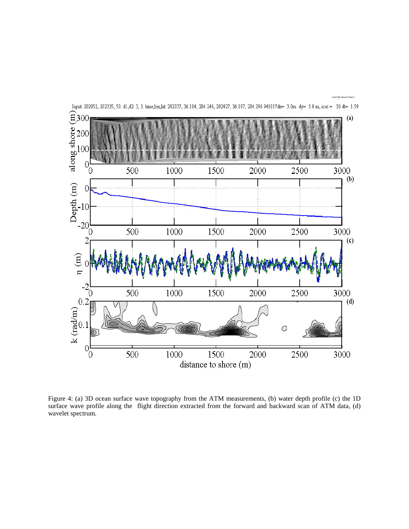

Figure 4: (a) 3D ocean surface wave topography from the ATM measurements, (b) water depth profile (c) the 1D surface wave profile along the flight direction extracted from the forward and backward scan of ATM data, (d) wavelet spectrum.